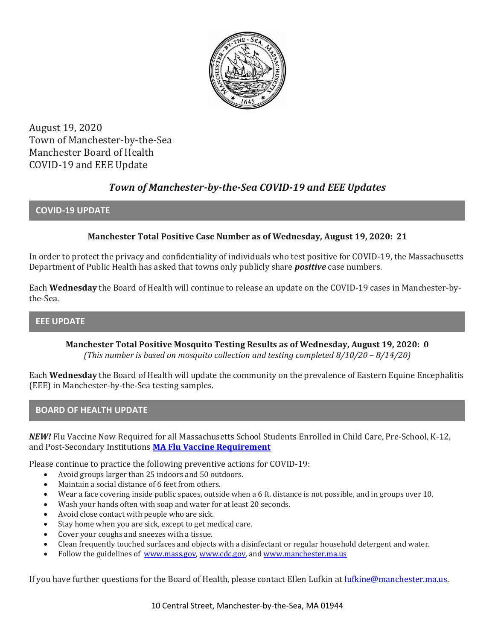

August 19, 2020 Town of Manchester-by-the-Sea Manchester Board of Health COVID-19 and EEE Update

# *Town of Manchester-by-the-Sea COVID-19 and EEE Updates*

## **COVID-19 UPDATE**

# **Manchester Total Positive Case Number as of Wednesday, August 19, 2020: 21**

In order to protect the privacy and confidentiality of individuals who test positive for COVID-19, the Massachusetts Department of Public Health has asked that towns only publicly share *positive* case numbers.

Each **Wednesday** the Board of Health will continue to release an update on the COVID-19 cases in Manchester-bythe-Sea.

## **EEE UPDATE**

**Manchester Total Positive Mosquito Testing Results as of Wednesday, August 19, 2020: 0** *(This number is based on mosquito collection and testing completed 8/10/20 – 8/14/20)*

Each **Wednesday** the Board of Health will update the community on the prevalence of Eastern Equine Encephalitis (EEE) in Manchester-by-the-Sea testing samples.

#### **BOARD OF HEALTH UPDATE**

*NEW!* Flu Vaccine Now Required for all Massachusetts School Students Enrolled in Child Care, Pre-School, K-12, and Post-Secondary Institutions **[MA Flu Vaccine Requirement](https://www.mass.gov/news/flu-vaccine-now-required-for-all-massachusetts-school-students-enrolled-in-child-care-pre)**

Please continue to practice the following preventive actions for COVID-19:

- Avoid groups larger than 25 indoors and 50 outdoors.
- Maintain a social distance of 6 feet from others.
- Wear a face covering inside public spaces, outside when a 6 ft. distance is not possible, and in groups over 10.
- Wash your hands often with soap and water for at least 20 seconds.
- Avoid close contact with people who are sick.
- Stay home when you are sick, except to get medical care.
- Cover your coughs and sneezes with a tissue.
- Clean frequently touched surfaces and objects with a disinfectant or regular household detergent and water.
- Follow the guidelines of [www.mass.gov,](https://www.mass.gov/) [www.cdc.gov,](https://www.cdc.gov/) an[d www.manchester.ma.us](http://www.manchester.ma.us/)

If you have further questions for the Board of Health, please contact Ellen Lufkin at <u>lufkine@manchester.ma.us</u>.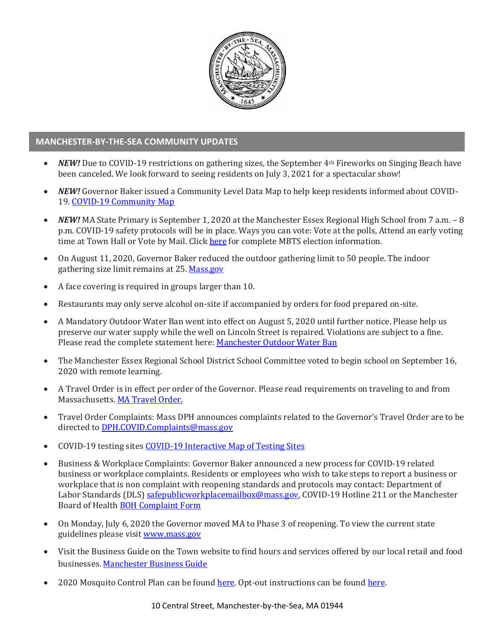

## **MANCHESTER-BY-THE-SEA COMMUNITY UPDATES**

- *NEW!* Due to COVID-19 restrictions on gathering sizes, the September 4th Fireworks on Singing Beach have been canceled. We look forward to seeing residents on July 3, 2021 for a spectacular show!
- *NEW!* Governor Baker issued a Community Level Data Map to help keep residents informed about COVID-19. [COVID-19 Community Map](https://www.mass.gov/info-details/community-level-covid-19-data-reporting)
- *NEW!* MA State Primary is September 1, 2020 at the Manchester Essex Regional High School from 7 a.m. 8 p.m. COVID-19 safety protocols will be in place. Ways you can vote: Vote at the polls, Attend an early voting time at Town Hall or Vote by Mail. Click [here](http://manchester.ma.us/503/Town-Meetings-and-Elections) for complete MBTS election information.
- On August 11, 2020, Governor Baker reduced the outdoor gathering limit to 50 people. The indoor gathering size limit remains at 25[. Mass.gov](https://www.mass.gov/news/baker-polito-administration-announces-new-initiatives-to-stop-spread-of-covid-19)
- A face covering is required in groups larger than 10.
- Restaurants may only serve alcohol on-site if accompanied by orders for food prepared on-site.
- A Mandatory Outdoor Water Ban went into effect on August 5, 2020 until further notice. Please help us preserve our water supply while the well on Lincoln Street is repaired. Violations are subject to a fine. Please read the complete statement here: [Manchester Outdoor Water Ban](http://manchester.ma.us/DocumentCenter/View/3307/MBTS-water-ban-August-2020)
- The Manchester Essex Regional School District School Committee voted to begin school on September 16, 2020 with remote learning.
- A Travel Order is in effect per order of the Governor. Please read requirements on traveling to and from Massachusetts. [MA Travel Order.](https://www.mass.gov/info-details/covid-19-travel-order)
- Travel Order Complaints: Mass DPH announces complaints related to the Governor's Travel Order are to be directed t[o DPH.COVID.Complaints@mass.gov](mailto:DPH.COVID.Complaints@mass.gov)
- COVID-19 testing site[s COVID-19 Interactive](https://memamaps.maps.arcgis.com/apps/webappviewer/index.html?id=eba3f0395451430b9f631cb095febf13) Map of Testing Sites
- Business & Workplace Complaints: Governor Baker announced a new process for COVID-19 related business or workplace complaints. Residents or employees who wish to take steps to report a business or workplace that is non complaint with reopening standards and protocols may contact: Department of Labor Standards (DLS[\) safepublicworkplacemailbox@mass.gov,](mailto:safepublicworkplacemailbox@mass.gov) COVID-19 Hotline 211 or the Manchester Board of Health [BOH Complaint Form](http://manchester.ma.us/DocumentCenter/View/3282/Board-of-Health-Complaint-Form-2020)
- On Monday, July 6, 2020 the Governor moved MA to Phase 3 of reopening. To view the current state guidelines please visi[t www.mass.gov](http://www.mass.gov/)
- Visit the Business Guide on the Town website to find hours and services offered by our local retail and food businesses[. Manchester Business Guide](http://manchester.ma.us/728/Business)
- 2020 Mosquito Control Plan can be found [here.](http://manchester.ma.us/DocumentCenter/View/3214/2020-Process-To-Exclude-Property-From-Mosquito-Spraying) Opt-out instructions can be found here.